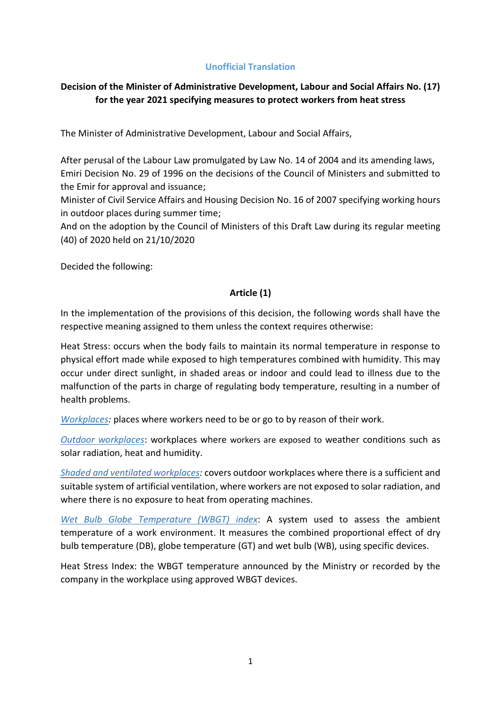## **Unofficial Translation**

# **Decision of the Minister of Administrative Development, Labour and Social Affairs No. (17) for the year 2021 specifying measures to protect workers from heat stress**

The Minister of Administrative Development, Labour and Social Affairs,

After perusal of the Labour Law promulgated by Law No. 14 of 2004 and its amending laws, Emiri Decision No. 29 of 1996 on the decisions of the Council of Ministers and submitted to the Emir for approval and issuance;

Minister of Civil Service Affairs and Housing Decision No. 16 of 2007 specifying working hours in outdoor places during summer time;

And on the adoption by the Council of Ministers of this Draft Law during its regular meeting (40) of 2020 held on 21/10/2020

Decided the following:

### **Article (1)**

In the implementation of the provisions of this decision, the following words shall have the respective meaning assigned to them unless the context requires otherwise:

Heat Stress: occurs when the body fails to maintain its normal temperature in response to physical effort made while exposed to high temperatures combined with humidity. This may occur under direct sunlight, in shaded areas or indoor and could lead to illness due to the malfunction of the parts in charge of regulating body temperature, resulting in a number of health problems.

*Workplaces:* places where workers need to be or go to by reason of their work.

*Outdoor workplaces*: workplaces where workers are exposed to weather conditions such as solar radiation, heat and humidity.

*Shaded and ventilated workplaces:* covers outdoor workplaces where there is a sufficient and suitable system of artificial ventilation, where workers are not exposed to solar radiation, and where there is no exposure to heat from operating machines.

*Wet Bulb Globe Temperature (WBGT) index*: A system used to assess the ambient temperature of a work environment. It measures the combined proportional effect of dry bulb temperature (DB), globe temperature (GT) and wet bulb (WB), using specific devices.

Heat Stress Index: the WBGT temperature announced by the Ministry or recorded by the company in the workplace using approved WBGT devices.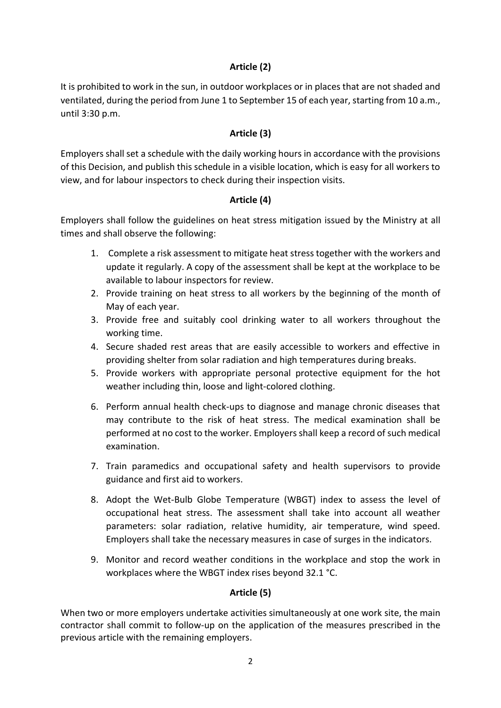## **Article (2)**

It is prohibited to work in the sun, in outdoor workplaces or in places that are not shaded and ventilated, during the period from June 1 to September 15 of each year, starting from 10 a.m., until 3:30 p.m.

## **Article (3)**

Employers shall set a schedule with the daily working hours in accordance with the provisions of this Decision, and publish this schedule in a visible location, which is easy for all workers to view, and for labour inspectors to check during their inspection visits.

### **Article (4)**

Employers shall follow the guidelines on heat stress mitigation issued by the Ministry at all times and shall observe the following:

- 1. Complete a risk assessment to mitigate heat stress together with the workers and update it regularly. A copy of the assessment shall be kept at the workplace to be available to labour inspectors for review.
- 2. Provide training on heat stress to all workers by the beginning of the month of May of each year.
- 3. Provide free and suitably cool drinking water to all workers throughout the working time.
- 4. Secure shaded rest areas that are easily accessible to workers and effective in providing shelter from solar radiation and high temperatures during breaks.
- 5. Provide workers with appropriate personal protective equipment for the hot weather including thin, loose and light-colored clothing.
- 6. Perform annual health check-ups to diagnose and manage chronic diseases that may contribute to the risk of heat stress. The medical examination shall be performed at no cost to the worker. Employers shall keep a record of such medical examination.
- 7. Train paramedics and occupational safety and health supervisors to provide guidance and first aid to workers.
- 8. Adopt the Wet-Bulb Globe Temperature (WBGT) index to assess the level of occupational heat stress. The assessment shall take into account all weather parameters: solar radiation, relative humidity, air temperature, wind speed. Employers shall take the necessary measures in case of surges in the indicators.
- 9. Monitor and record weather conditions in the workplace and stop the work in workplaces where the WBGT index rises beyond 32.1 °C.

# **Article (5)**

When two or more employers undertake activities simultaneously at one work site, the main contractor shall commit to follow-up on the application of the measures prescribed in the previous article with the remaining employers.